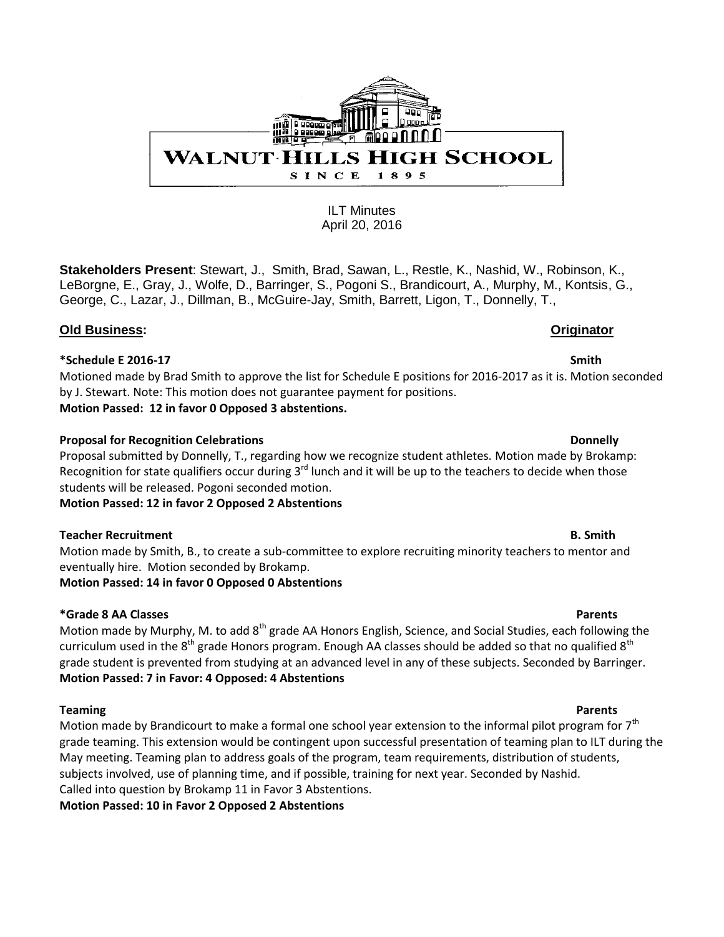

**Stakeholders Present**: Stewart, J., Smith, Brad, Sawan, L., Restle, K., Nashid, W., Robinson, K., LeBorgne, E., Gray, J., Wolfe, D., Barringer, S., Pogoni S., Brandicourt, A., Murphy, M., Kontsis, G., George, C., Lazar, J., Dillman, B., McGuire-Jay, Smith, Barrett, Ligon, T., Donnelly, T.,

# **Old Business: Originator**

### **\*Schedule E 2016-17 Smith**

Motioned made by Brad Smith to approve the list for Schedule E positions for 2016-2017 as it is. Motion seconded by J. Stewart. Note: This motion does not guarantee payment for positions. **Motion Passed: 12 in favor 0 Opposed 3 abstentions.** 

### **Proposal for Recognition Celebrations Donnelly Donnelly**

Proposal submitted by Donnelly, T., regarding how we recognize student athletes. Motion made by Brokamp: Recognition for state qualifiers occur during  $3<sup>rd</sup>$  lunch and it will be up to the teachers to decide when those students will be released. Pogoni seconded motion.

### **Motion Passed: 12 in favor 2 Opposed 2 Abstentions**

### **Teacher Recruitment B. Smith** B. Smith

Motion made by Smith, B., to create a sub-committee to explore recruiting minority teachers to mentor and eventually hire. Motion seconded by Brokamp.

# **Motion Passed: 14 in favor 0 Opposed 0 Abstentions**

# **\*Grade 8 AA Classes Parents**

Motion made by Murphy, M. to add 8<sup>th</sup> grade AA Honors English, Science, and Social Studies, each following the curriculum used in the  $8^{th}$  grade Honors program. Enough AA classes should be added so that no qualified  $8^{th}$ grade student is prevented from studying at an advanced level in any of these subjects. Seconded by Barringer. **Motion Passed: 7 in Favor: 4 Opposed: 4 Abstentions**

**Teaming** Parents Motion made by Brandicourt to make a formal one school year extension to the informal pilot program for  $7<sup>th</sup>$ grade teaming. This extension would be contingent upon successful presentation of teaming plan to ILT during the May meeting. Teaming plan to address goals of the program, team requirements, distribution of students, subjects involved, use of planning time, and if possible, training for next year. Seconded by Nashid. Called into question by Brokamp 11 in Favor 3 Abstentions.

**Motion Passed: 10 in Favor 2 Opposed 2 Abstentions**

# WALNUT HILLS HIGH SCHOOL SINCE  $895$